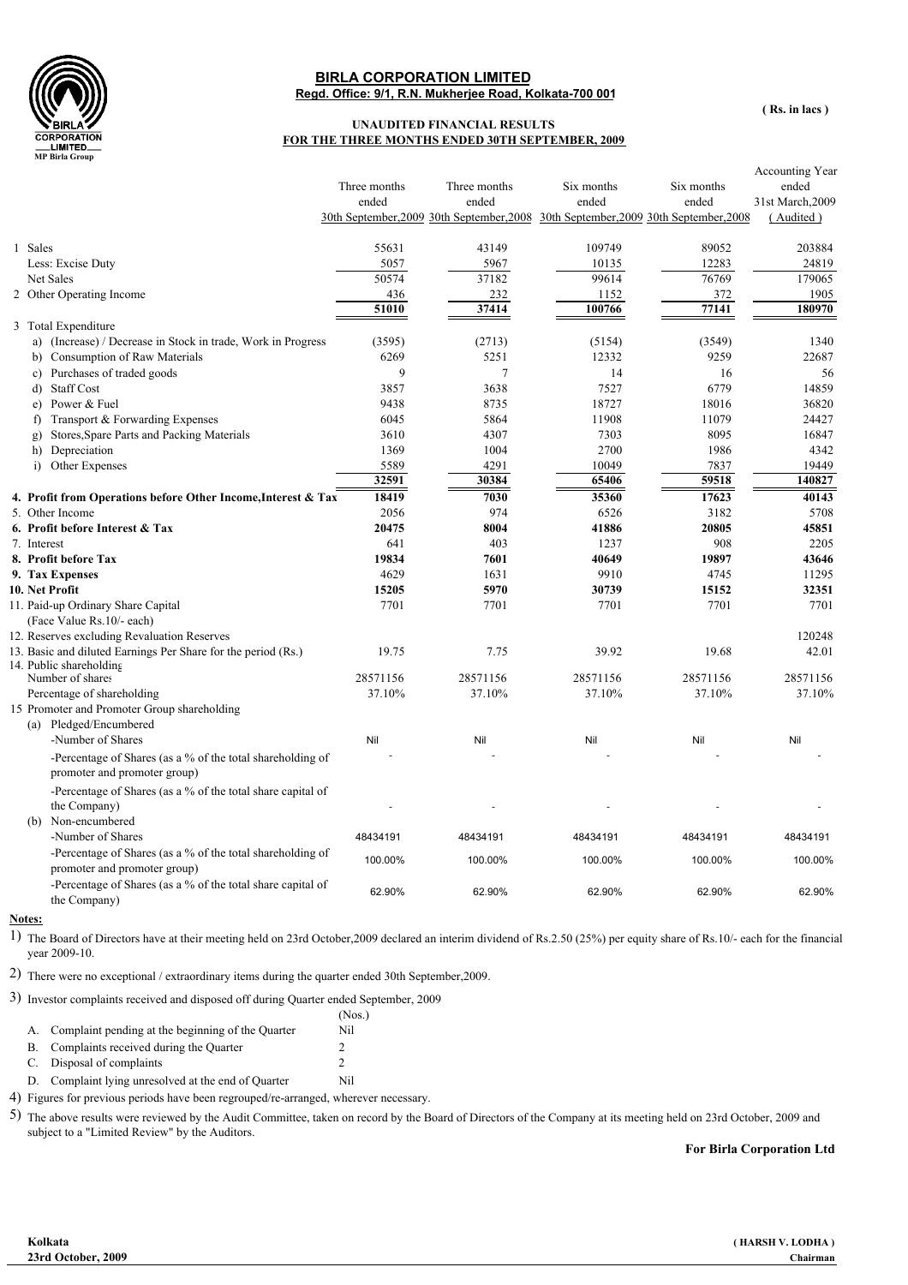

## **Regd. Office: 9/1, R.N. Mukherjee Road, Kolkata-700 001 BIRLA CORPORATION LIMITED**

**( Rs. in lacs )**

## **UNAUDITED FINANCIAL RESULTS FOR THE THREE MONTHS ENDED 30TH SEPTEMBER, 2009**

|                                                                                                   | Three months<br>ended | Three months<br>ended<br>30th September, 2009 30th September, 2008 30th September, 2009 30th September, 2008 | Six months<br>ended | Six months<br>ended | Accounting Year<br>ended<br>31st March, 2009<br>(Audited) |
|---------------------------------------------------------------------------------------------------|-----------------------|--------------------------------------------------------------------------------------------------------------|---------------------|---------------------|-----------------------------------------------------------|
| 1 Sales                                                                                           | 55631                 | 43149                                                                                                        | 109749              | 89052               | 203884                                                    |
| Less: Excise Duty                                                                                 | 5057                  | 5967                                                                                                         | 10135               | 12283               | 24819                                                     |
| Net Sales                                                                                         | 50574                 | 37182                                                                                                        | 99614               | 76769               | 179065                                                    |
| 2 Other Operating Income                                                                          | 436                   | 232                                                                                                          | 1152                | 372                 | 1905                                                      |
|                                                                                                   | 51010                 | 37414                                                                                                        | 100766              | 77141               | 180970                                                    |
| 3 Total Expenditure                                                                               |                       |                                                                                                              |                     |                     |                                                           |
| a) (Increase) / Decrease in Stock in trade, Work in Progress                                      | (3595)                | (2713)                                                                                                       | (5154)              | (3549)              | 1340                                                      |
| b) Consumption of Raw Materials                                                                   | 6269                  | 5251                                                                                                         | 12332               | 9259                | 22687                                                     |
| c) Purchases of traded goods                                                                      | 9                     | $\overline{7}$                                                                                               | 14                  | 16                  | 56                                                        |
| d) Staff Cost                                                                                     | 3857                  | 3638                                                                                                         | 7527                | 6779                | 14859                                                     |
| e) Power & Fuel                                                                                   | 9438                  | 8735                                                                                                         | 18727               | 18016               | 36820                                                     |
| Transport & Forwarding Expenses<br>f)                                                             | 6045                  | 5864                                                                                                         | 11908               | 11079               | 24427                                                     |
| Stores, Spare Parts and Packing Materials<br>g)                                                   | 3610                  | 4307                                                                                                         | 7303                | 8095                | 16847                                                     |
| h) Depreciation                                                                                   | 1369                  | 1004                                                                                                         | 2700                | 1986                | 4342                                                      |
| i) Other Expenses                                                                                 | 5589                  | 4291                                                                                                         | 10049               | 7837                | 19449                                                     |
|                                                                                                   | 32591                 | 30384                                                                                                        | 65406               | 59518               | 140827                                                    |
| 4. Profit from Operations before Other Income, Interest & Tax                                     | 18419                 | 7030                                                                                                         | 35360               | 17623               | 40143                                                     |
| 5. Other Income                                                                                   | 2056                  | 974                                                                                                          | 6526                | 3182                | 5708                                                      |
| 6. Profit before Interest & Tax                                                                   | 20475                 | 8004                                                                                                         | 41886               | 20805               | 45851                                                     |
| 7. Interest                                                                                       | 641                   | 403                                                                                                          | 1237                | 908                 | 2205                                                      |
| 8. Profit before Tax                                                                              | 19834                 | 7601                                                                                                         | 40649               | 19897               | 43646                                                     |
| 9. Tax Expenses                                                                                   | 4629                  | 1631                                                                                                         | 9910                | 4745                | 11295                                                     |
| 10. Net Profit                                                                                    | 15205                 | 5970                                                                                                         | 30739               | 15152               | 32351                                                     |
| 11. Paid-up Ordinary Share Capital                                                                | 7701                  | 7701                                                                                                         | 7701                | 7701                | 7701                                                      |
| (Face Value Rs.10/- each)                                                                         |                       |                                                                                                              |                     |                     |                                                           |
| 12. Reserves excluding Revaluation Reserves                                                       |                       |                                                                                                              |                     |                     | 120248                                                    |
| 13. Basic and diluted Earnings Per Share for the period (Rs.)<br>14. Public shareholding          | 19.75                 | 7.75                                                                                                         | 39.92               | 19.68               | 42.01                                                     |
| Number of shares                                                                                  | 28571156              | 28571156                                                                                                     | 28571156            | 28571156            | 28571156                                                  |
| Percentage of shareholding                                                                        | 37.10%                | 37.10%                                                                                                       | 37.10%              | 37.10%              | 37.10%                                                    |
| 15 Promoter and Promoter Group shareholding                                                       |                       |                                                                                                              |                     |                     |                                                           |
| (a) Pledged/Encumbered                                                                            |                       |                                                                                                              |                     |                     |                                                           |
| -Number of Shares                                                                                 | Nil                   | Nil                                                                                                          | Nil                 | Nil                 | Nil                                                       |
| -Percentage of Shares (as a % of the total shareholding of<br>promoter and promoter group)        |                       |                                                                                                              |                     |                     |                                                           |
| -Percentage of Shares (as a % of the total share capital of<br>the Company)<br>(b) Non-encumbered |                       |                                                                                                              |                     |                     |                                                           |
| -Number of Shares                                                                                 | 48434191              | 48434191                                                                                                     | 48434191            | 48434191            | 48434191                                                  |
| -Percentage of Shares (as a % of the total shareholding of                                        |                       |                                                                                                              |                     |                     |                                                           |
| promoter and promoter group)                                                                      | 100.00%               | 100.00%                                                                                                      | 100.00%             | 100.00%             | 100.00%                                                   |
| -Percentage of Shares (as a % of the total share capital of<br>the Company)                       | 62.90%                | 62.90%                                                                                                       | 62.90%              | 62.90%              | 62.90%                                                    |

## **Notes:**

1) The Board of Directors have at their meeting held on 23rd October,2009 declared an interim dividend of Rs.2.50 (25%) per equity share of Rs.10/- each for the financial year 2009-10.

2) There were no exceptional / extraordinary items during the quarter ended 30th September,2009.

3) Investor complaints received and disposed off during Quarter ended September, 2009

|    |                                                   | (Nos.) |
|----|---------------------------------------------------|--------|
| А. | Complaint pending at the beginning of the Quarter | Nil    |

B. Complaints received during the Quarter 2<br>
C. Disposal of complaints 2

 $C.$  Disposal of complaints

D. Complaint lying unresolved at the end of Quarter Nil

4) Figures for previous periods have been regrouped/re-arranged, wherever necessary.

5) The above results were reviewed by the Audit Committee, taken on record by the Board of Directors of the Company at its meeting held on 23rd October, 2009 and subject to a "Limited Review" by the Auditors.

**For Birla Corporation Ltd**